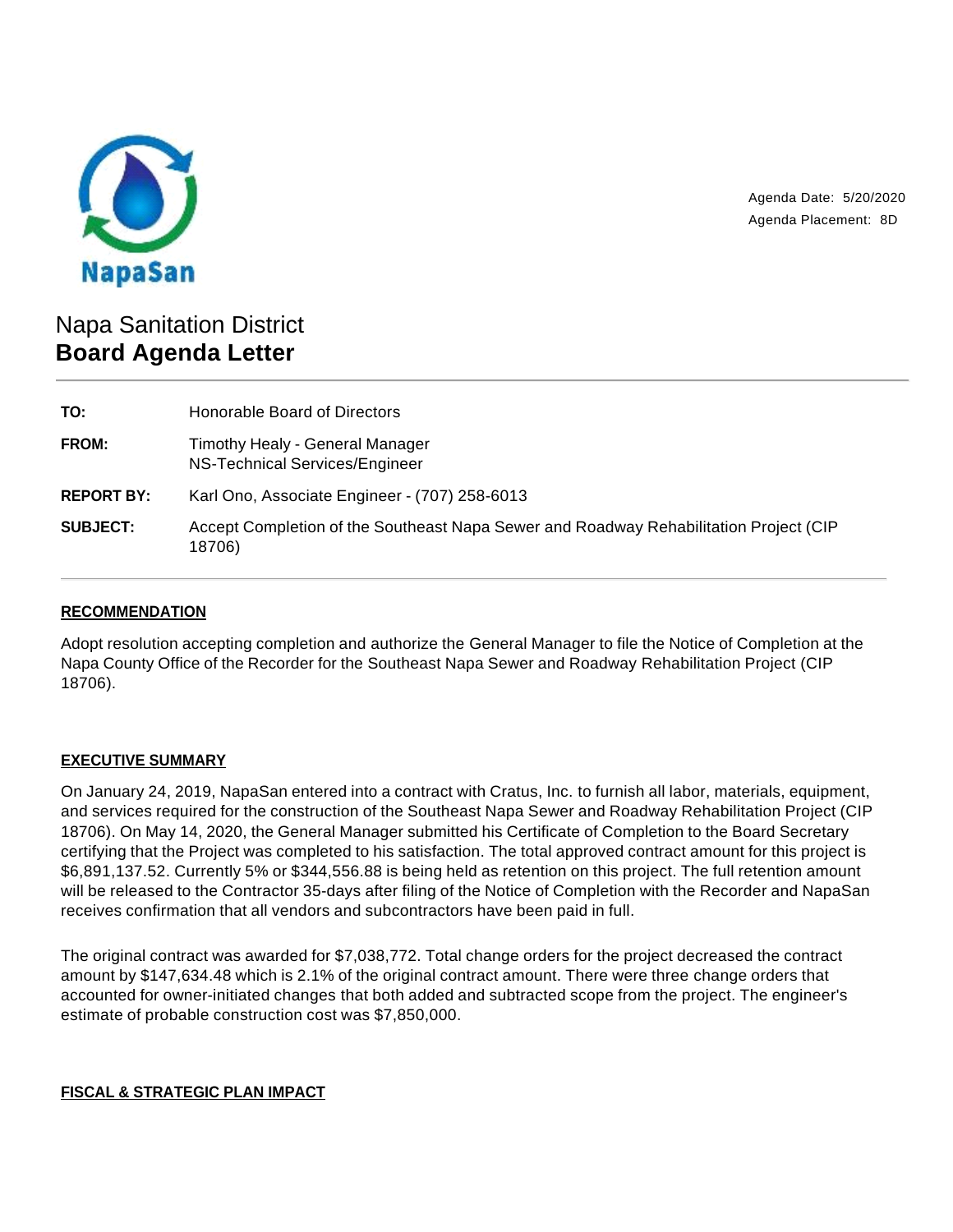

Agenda Date: 5/20/2020 Agenda Placement: 8D

# Napa Sanitation District **Board Agenda Letter**

| TO:               | Honorable Board of Directors                                                                    |
|-------------------|-------------------------------------------------------------------------------------------------|
| FROM:             | Timothy Healy - General Manager<br>NS-Technical Services/Engineer                               |
| <b>REPORT BY:</b> | Karl Ono, Associate Engineer - (707) 258-6013                                                   |
| <b>SUBJECT:</b>   | Accept Completion of the Southeast Napa Sewer and Roadway Rehabilitation Project (CIP<br>18706) |

## **RECOMMENDATION**

Adopt resolution accepting completion and authorize the General Manager to file the Notice of Completion at the Napa County Office of the Recorder for the Southeast Napa Sewer and Roadway Rehabilitation Project (CIP 18706).

### **EXECUTIVE SUMMARY**

On January 24, 2019, NapaSan entered into a contract with Cratus, Inc. to furnish all labor, materials, equipment, and services required for the construction of the Southeast Napa Sewer and Roadway Rehabilitation Project (CIP 18706). On May 14, 2020, the General Manager submitted his Certificate of Completion to the Board Secretary certifying that the Project was completed to his satisfaction. The total approved contract amount for this project is \$6,891,137.52. Currently 5% or \$344,556.88 is being held as retention on this project. The full retention amount will be released to the Contractor 35-days after filing of the Notice of Completion with the Recorder and NapaSan receives confirmation that all vendors and subcontractors have been paid in full.

The original contract was awarded for \$7,038,772. Total change orders for the project decreased the contract amount by \$147,634.48 which is 2.1% of the original contract amount. There were three change orders that accounted for owner-initiated changes that both added and subtracted scope from the project. The engineer's estimate of probable construction cost was \$7,850,000.

#### **FISCAL & STRATEGIC PLAN IMPACT**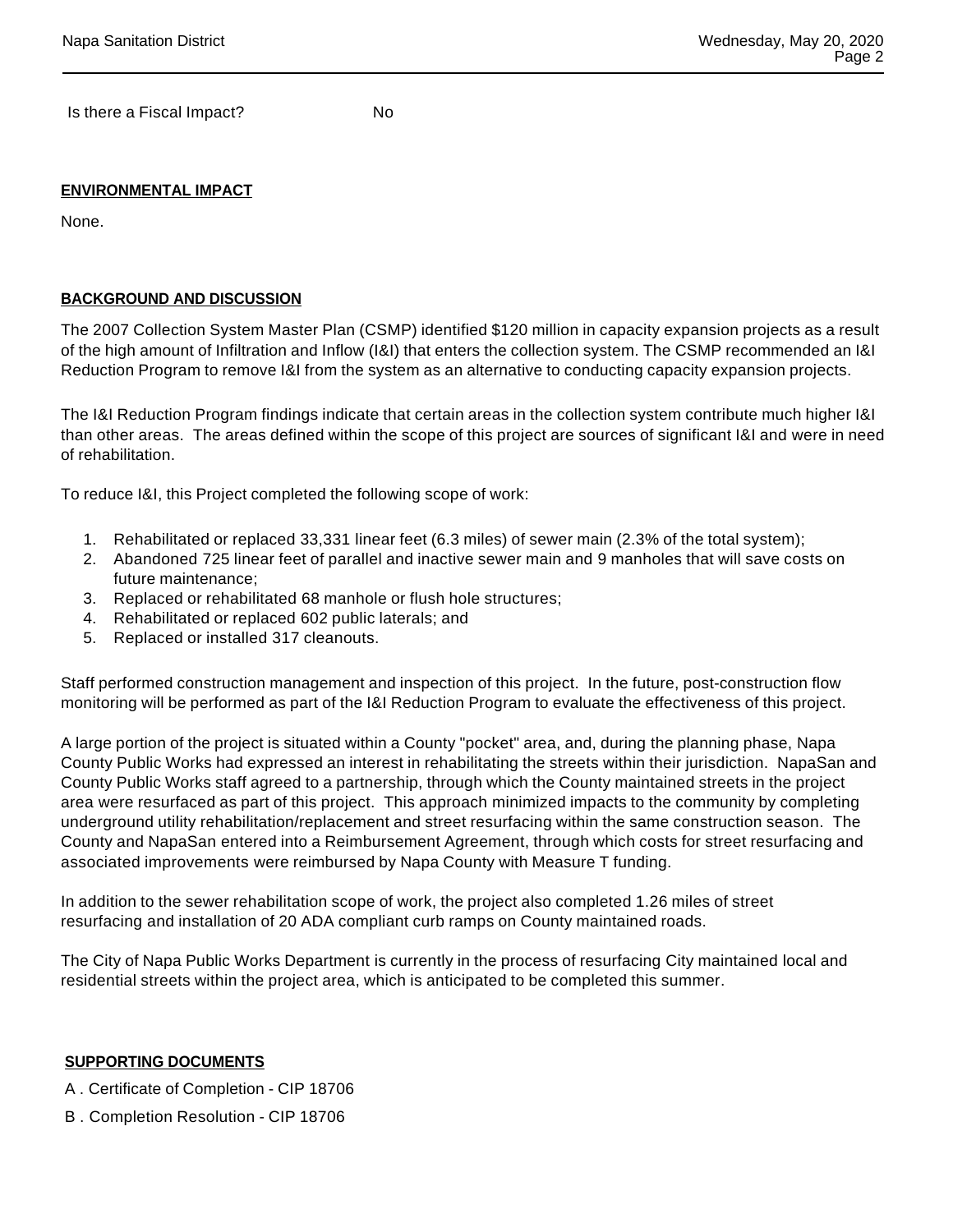Is there a Fiscal Impact? No

#### **ENVIRONMENTAL IMPACT**

None.

#### **BACKGROUND AND DISCUSSION**

The 2007 Collection System Master Plan (CSMP) identified \$120 million in capacity expansion projects as a result of the high amount of Infiltration and Inflow (I&I) that enters the collection system. The CSMP recommended an I&I Reduction Program to remove I&I from the system as an alternative to conducting capacity expansion projects.

The I&I Reduction Program findings indicate that certain areas in the collection system contribute much higher I&I than other areas. The areas defined within the scope of this project are sources of significant I&I and were in need of rehabilitation.

To reduce I&I, this Project completed the following scope of work:

- 1. Rehabilitated or replaced 33,331 linear feet (6.3 miles) of sewer main (2.3% of the total system);
- 2. Abandoned 725 linear feet of parallel and inactive sewer main and 9 manholes that will save costs on future maintenance;
- 3. Replaced or rehabilitated 68 manhole or flush hole structures;
- 4. Rehabilitated or replaced 602 public laterals; and
- 5. Replaced or installed 317 cleanouts.

Staff performed construction management and inspection of this project. In the future, post-construction flow monitoring will be performed as part of the I&I Reduction Program to evaluate the effectiveness of this project.

A large portion of the project is situated within a County "pocket" area, and, during the planning phase, Napa County Public Works had expressed an interest in rehabilitating the streets within their jurisdiction. NapaSan and County Public Works staff agreed to a partnership, through which the County maintained streets in the project area were resurfaced as part of this project. This approach minimized impacts to the community by completing underground utility rehabilitation/replacement and street resurfacing within the same construction season. The County and NapaSan entered into a Reimbursement Agreement, through which costs for street resurfacing and associated improvements were reimbursed by Napa County with Measure T funding.

In addition to the sewer rehabilitation scope of work, the project also completed 1.26 miles of street resurfacing and installation of 20 ADA compliant curb ramps on County maintained roads.

The City of Napa Public Works Department is currently in the process of resurfacing City maintained local and residential streets within the project area, which is anticipated to be completed this summer.

#### **SUPPORTING DOCUMENTS**

- A . Certificate of Completion CIP 18706
- B . Completion Resolution CIP 18706